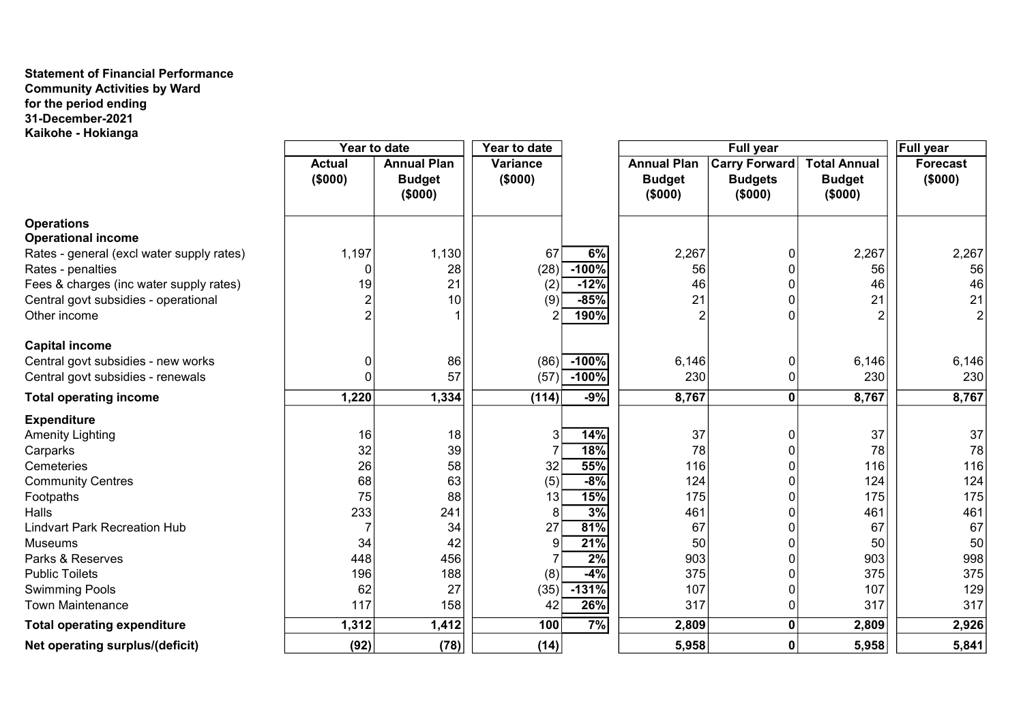## Statement of Financial Performance Community Activities by Ward for the period ending 31-December-2021 Kaikohe - Hokianga

|                                           | Year to date             |                                                | Year to date               |         | Full year                                      |                                            |                                                 | <b>Full year</b>           |
|-------------------------------------------|--------------------------|------------------------------------------------|----------------------------|---------|------------------------------------------------|--------------------------------------------|-------------------------------------------------|----------------------------|
|                                           | <b>Actual</b><br>(\$000) | <b>Annual Plan</b><br><b>Budget</b><br>(\$000) | <b>Variance</b><br>(\$000) |         | <b>Annual Plan</b><br><b>Budget</b><br>(\$000) | Carry Forward<br><b>Budgets</b><br>(\$000) | <b>Total Annual</b><br><b>Budget</b><br>(\$000) | <b>Forecast</b><br>(\$000) |
| <b>Operations</b>                         |                          |                                                |                            |         |                                                |                                            |                                                 |                            |
| <b>Operational income</b>                 |                          |                                                |                            |         |                                                |                                            |                                                 |                            |
| Rates - general (excl water supply rates) | 1,197                    | 1,130                                          | 67                         | 6%      | 2,267                                          |                                            | 2,267                                           | 2,267                      |
| Rates - penalties                         | 0                        | 28                                             | (28)                       | $-100%$ | 56                                             | 0                                          | 56                                              | 56                         |
| Fees & charges (inc water supply rates)   | 19                       | 21                                             | (2)                        | $-12%$  | 46                                             |                                            | 46                                              | 46                         |
| Central govt subsidies - operational      | $\overline{2}$           | 10                                             | (9)                        | $-85%$  | 21                                             |                                            | 21                                              | 21                         |
| Other income                              | $\overline{2}$           |                                                | 2                          | 190%    | $\boldsymbol{2}$                               |                                            | $\overline{2}$                                  |                            |
| <b>Capital income</b>                     |                          |                                                |                            |         |                                                |                                            |                                                 |                            |
| Central govt subsidies - new works        | 0                        | 86                                             | (86)                       | $-100%$ | 6,146                                          | 0                                          | 6,146                                           | 6,146                      |
| Central govt subsidies - renewals         | 0                        | 57                                             | (57)                       | $-100%$ | 230                                            |                                            | 230                                             | 230                        |
| <b>Total operating income</b>             | 1,220                    | 1,334                                          | (114)                      | $-9%$   | 8,767                                          | 0                                          | 8,767                                           | 8,767                      |
| <b>Expenditure</b>                        |                          |                                                |                            |         |                                                |                                            |                                                 |                            |
| <b>Amenity Lighting</b>                   | 16                       | 18                                             | 3                          | 14%     | 37                                             | 0                                          | 37                                              | 37                         |
| Carparks                                  | 32                       | 39                                             |                            | 18%     | 78                                             |                                            | 78                                              | 78                         |
| Cemeteries                                | 26                       | 58                                             | 32                         | 55%     | 116                                            |                                            | 116                                             | 116                        |
| <b>Community Centres</b>                  | 68                       | 63                                             | (5)                        | $-8%$   | 124                                            |                                            | 124                                             | 124                        |
| Footpaths                                 | 75                       | 88                                             | 13                         | 15%     | 175                                            | O                                          | 175                                             | 175                        |
| Halls                                     | 233                      | 241                                            | 8                          | 3%      | 461                                            |                                            | 461                                             | 461                        |
| <b>Lindvart Park Recreation Hub</b>       | $\overline{7}$           | 34                                             | 27                         | 81%     | 67                                             |                                            | 67                                              | 67                         |
| <b>Museums</b>                            | 34                       | 42                                             | 9                          | 21%     | 50                                             |                                            | 50                                              | 50                         |
| Parks & Reserves                          | 448                      | 456                                            |                            | 2%      | 903                                            |                                            | 903                                             | 998                        |
| <b>Public Toilets</b>                     | 196                      | 188                                            | (8)                        | $-4%$   | 375                                            |                                            | 375                                             | 375                        |
| <b>Swimming Pools</b>                     | 62                       | 27                                             | (35)                       | $-131%$ | 107                                            |                                            | 107                                             | 129                        |
| <b>Town Maintenance</b>                   | 117                      | 158                                            | 42                         | 26%     | 317                                            | 0                                          | 317                                             | 317                        |
| <b>Total operating expenditure</b>        | 1,312                    | 1,412                                          | 100                        | 7%      | 2,809                                          | 0                                          | 2,809                                           | 2,926                      |
| Net operating surplus/(deficit)           | (92)                     | (78)                                           | (14)                       |         | 5,958                                          | $\mathbf 0$                                | 5,958                                           | 5,841                      |